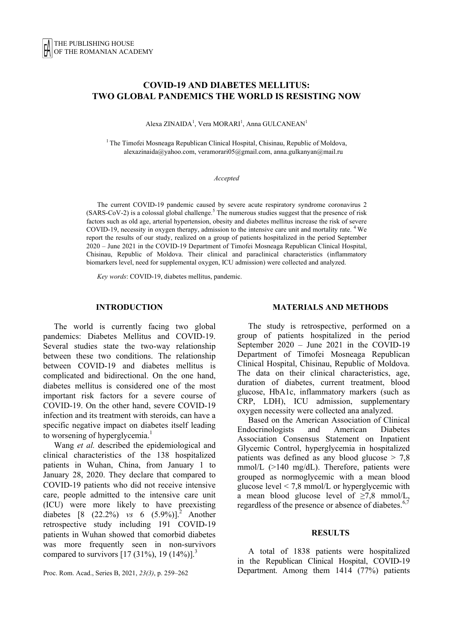# **COVID-19 AND DIABETES MELLITUS: TWO GLOBAL PANDEMICS THE WORLD IS RESISTING NOW**

Alexa ZINAIDA<sup>1</sup>, Vera MORARI<sup>1</sup>, Anna GULCANEAN<sup>1</sup>

<sup>1</sup> The Timofei Mosneaga Republican Clinical Hospital, Chisinau, Republic of Moldova, alexazinaida@yahoo.com, veramorari05@gmail.com, anna.gulkanyan@mail.ru

#### *Accepted*

The current COVID-19 pandemic caused by severe acute respiratory syndrome coronavirus 2  $(SARS-CoV-2)$  is a colossal global challenge.<sup>5</sup> The numerous studies suggest that the presence of risk factors such as old age, arterial hypertension, obesity and diabetes mellitus increase the risk of severe COVID-19, necessity in oxygen therapy, admission to the intensive care unit and mortality rate. 4 We report the results of our study, realized on a group of patients hospitalized in the period September 2020 – June 2021 in the COVID-19 Department of Timofei Mosneaga Republican Clinical Hospital, Chisinau, Republic of Moldova. Their clinical and paraclinical characteristics (inflammatory biomarkers level, need for supplemental oxygen, ICU admission) were collected and analyzed.

*Key words*: COVID-19, diabetes mellitus, pandemic.

#### **INTRODUCTION**

The world is currently facing two global pandemics: Diabetes Mellitus and COVID-19. Several studies state the two-way relationship between these two conditions. The relationship between COVID-19 and diabetes mellitus is complicated and bidirectional. On the one hand, diabetes mellitus is considered one of the most important risk factors for a severe course of COVID-19. On the other hand, severe COVID-19 infection and its treatment with steroids, can have a specific negative impact on diabetes itself leading to worsening of hyperglycemia.<sup>1</sup>

Wang *et al.* described the epidemiological and clinical characteristics of the 138 hospitalized patients in Wuhan, China, from January 1 to January 28, 2020. They declare that compared to COVID-19 patients who did not receive intensive care, people admitted to the intensive care unit (ICU) were more likely to have preexisting diabetes [8 (22.2%) *vs* 6 (5.9%)].2 Another retrospective study including 191 COVID-19 patients in Wuhan showed that comorbid diabetes was more frequently seen in non-survivors compared to survivors  $[17 (31\%)$ , 19  $(14\%)$ ].<sup>3</sup>

Proc. Rom. Acad., Series B, 2021, *23(3)*, p. 259–262

#### **MATERIALS AND METHODS**

The study is retrospective, performed on a group of patients hospitalized in the period September 2020 – June 2021 in the COVID-19 Department of Timofei Mosneaga Republican Clinical Hospital, Chisinau, Republic of Moldova. The data on their clinical characteristics, age, duration of diabetes, current treatment, blood glucose, HbA1c, inflammatory markers (such as CRP, LDH), ICU admission, supplementary oxygen necessity were collected ana analyzed.

Based on the American Association of Clinical Endocrinologists and American Diabetes Association Consensus Statement on Inpatient Glycemic Control, hyperglycemia in hospitalized patients was defined as any blood glucose > 7,8 mmol/L (>140 mg/dL). Therefore, patients were grouped as normoglycemic with a mean blood glucose level  $\leq$  7,8 mmol/L or hyperglycemic with a mean blood glucose level of  $\geq 7.8$  mmol/L, regardless of the presence or absence of diabetes.<sup>6,7</sup>

#### **RESULTS**

A total of 1838 patients were hospitalized in the Republican Clinical Hospital, COVID-19 Department. Among them 1414 (77%) patients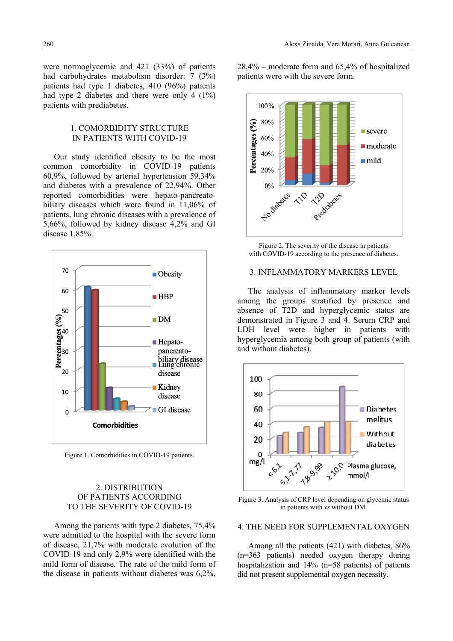were normoglycemic and 421 (33%) of patients had carbohydrates metabolism disorder: 7 (3%) patients had type 1 diabetes, 410 (96%) patients had type 2 diabetes and there were only 4 (1%) patients with prediabetes.

## 1. COMORBIDITY STRUCTURE IN PATIENTS WITH COVID-19

Our study identified obesity to be the most common comorbidity in COVID-19 patients 60,9%, followed by arterial hypertension 59,34% and diabetes with a prevalence of 22,94%. Other reported comorbidities were hepato-pancreatobiliary diseases which were found in 11,06% of patients, lung chronic diseases with a prevalence of 5,66%, followed by kidney disease 4,2% and GI disease 1,85%.



Figure 1. Comorbidities in COVID-19 patients.

# 2. DISTRIBUTION OF PATIENTS ACCORDING TO THE SEVERITY OF COVID-19

Among the patients with type 2 diabetes, 75,4% were admitted to the hospital with the severe form of disease, 21,7% with moderate evolution of the COVID-19 and only 2,9% were identified with the mild form of disease. The rate of the mild form of the disease in patients without diabetes was 6,2%,

28,4% – moderate form and 65,4% of hospitalized patients were with the severe form.



Figure 2. The severity of the disease in patients with COVID-19 according to the presence of diabetes.

## 3. INFLAMMATORY MARKERS LEVEL

The analysis of inflammatory marker levels among the groups stratified by presence and absence of T2D and hyperglycemic status are demonstrated in Figure 3 and 4. Serum CRP and LDH level were higher in patients with hyperglycemia among both group of patients (with and without diabetes).



Figure 3. Analysis of CRP level depending on glycemic status in patients with *vs* without DM.

#### 4. THE NEED FOR SUPPLEMENTAL OXYGEN

Among all the patients (421) with diabetes, 86% (n=363 patients) needed oxygen therapy during hospitalization and 14% (n=58 patients) of patients did not present supplemental oxygen necessity.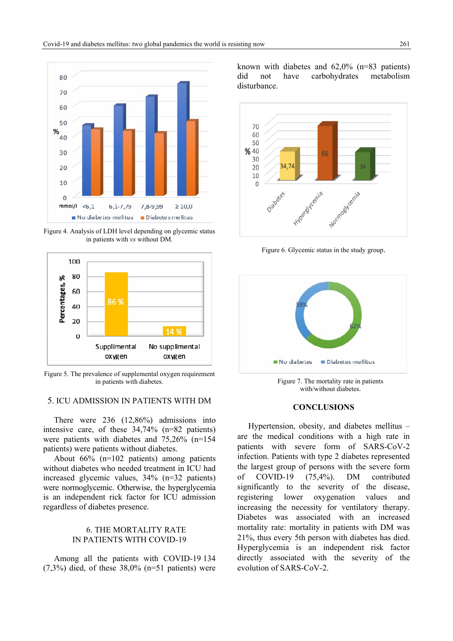

Figure 4. Analysis of LDH level depending on glycemic status in patients with *vs* without DM.



Figure 5. The prevalence of supplemental oxygen requirement in patients with diabetes.

# 5. ICU ADMISSION IN PATIENTS WITH DM

There were 236 (12,86%) admissions into intensive care, of these 34,74% (n=82 patients) were patients with diabetes and 75,26% (n=154 patients) were patients without diabetes.

About 66% (n=102 patients) among patients without diabetes who needed treatment in ICU had increased glycemic values, 34% (n=32 patients) were normoglycemic. Otherwise, the hyperglycemia is an independent rick factor for ICU admission regardless of diabetes presence.

## 6. THE MORTALITY RATE IN PATIENTS WITH COVID-19

Among all the patients with COVID-19 134  $(7,3\%)$  died, of these  $38,0\%$  (n=51 patients) were known with diabetes and 62,0% (n=83 patients) did not have carbohydrates metabolism disturbance.



Figure 6. Glycemic status in the study group.



Figure 7. The mortality rate in patients with/without diabetes.

### **CONCLUSIONS**

Hypertension, obesity, and diabetes mellitus – are the medical conditions with a high rate in patients with severe form of SARS-CoV-2 infection. Patients with type 2 diabetes represented the largest group of persons with the severe form of COVID-19 (75,4%). DM contributed significantly to the severity of the disease, registering lower oxygenation values and increasing the necessity for ventilatory therapy. Diabetes was associated with an increased mortality rate: mortality in patients with DM was 21%, thus every 5th person with diabetes has died. Hyperglycemia is an independent risk factor directly associated with the severity of the evolution of SARS-CoV-2.